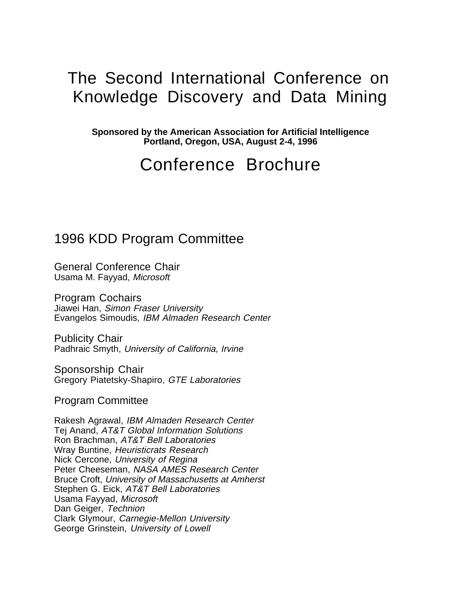# The Second International Conference on Knowledge Discovery and Data Mining

**Sponsored by the American Association for Artificial Intelligence Portland, Oregon, USA, August 2-4, 1996**

# Conference Brochure

## 1996 KDD Program Committee

General Conference Chair Usama M. Fayyad, Microsoft

Program Cochairs Jiawei Han, Simon Fraser University Evangelos Simoudis, IBM Almaden Research Center

Publicity Chair Padhraic Smyth, University of California, Irvine

Sponsorship Chair Gregory Piatetsky-Shapiro, GTE Laboratories

Program Committee

Rakesh Agrawal, IBM Almaden Research Center Tej Anand, AT&T Global Information Solutions Ron Brachman, AT&T Bell Laboratories Wray Buntine, Heuristicrats Research Nick Cercone, University of Regina Peter Cheeseman, NASA AMES Research Center Bruce Croft, University of Massachusetts at Amherst Stephen G. Eick, AT&T Bell Laboratories Usama Fayyad, Microsoft Dan Geiger, Technion Clark Glymour, Carnegie-Mellon University George Grinstein, University of Lowell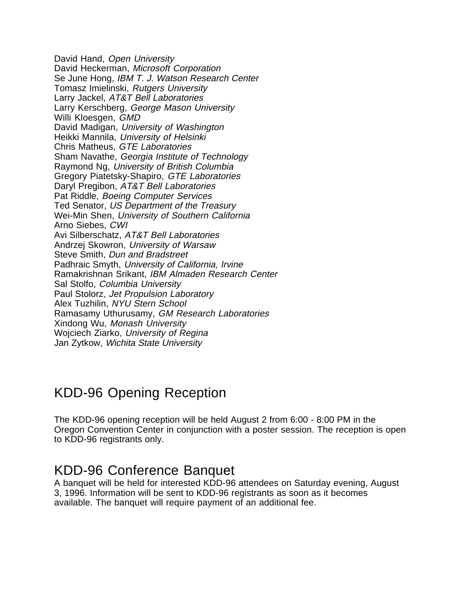David Hand, Open University David Heckerman, Microsoft Corporation Se June Hong, IBM T. J. Watson Research Center Tomasz Imielinski, Rutgers University Larry Jackel, AT&T Bell Laboratories Larry Kerschberg, George Mason University Willi Kloesgen, GMD David Madigan, University of Washington Heikki Mannila, University of Helsinki Chris Matheus, GTE Laboratories Sham Navathe, Georgia Institute of Technology Raymond Ng, University of British Columbia Gregory Piatetsky-Shapiro, GTE Laboratories Daryl Pregibon, AT&T Bell Laboratories Pat Riddle, Boeing Computer Services Ted Senator, US Department of the Treasury Wei-Min Shen, University of Southern California Arno Siebes, CWI Avi Silberschatz, AT&T Bell Laboratories Andrzej Skowron, University of Warsaw Steve Smith, Dun and Bradstreet Padhraic Smyth, University of California, Irvine Ramakrishnan Srikant, IBM Almaden Research Center Sal Stolfo, Columbia University Paul Stolorz, Jet Propulsion Laboratory Alex Tuzhilin, NYU Stern School Ramasamy Uthurusamy, GM Research Laboratories Xindong Wu, Monash University Wojciech Ziarko, University of Regina Jan Zytkow, Wichita State University

## KDD-96 Opening Reception

The KDD-96 opening reception will be held August 2 from 6:00 - 8:00 PM in the Oregon Convention Center in conjunction with a poster session. The reception is open to KDD-96 registrants only.

## KDD-96 Conference Banquet

A banquet will be held for interested KDD-96 attendees on Saturday evening, August 3, 1996. Information will be sent to KDD-96 registrants as soon as it becomes available. The banquet will require payment of an additional fee.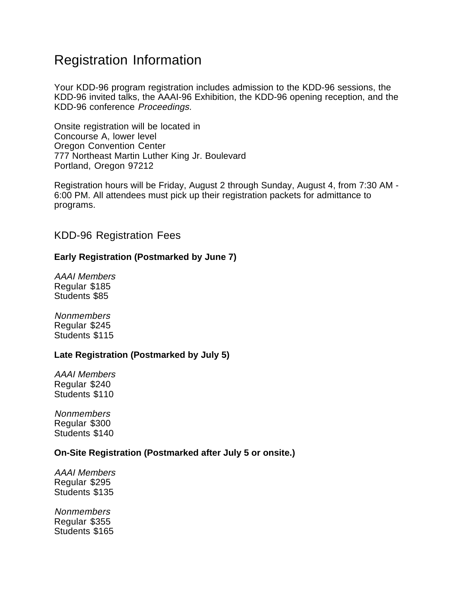## Registration Information

Your KDD-96 program registration includes admission to the KDD-96 sessions, the KDD-96 invited talks, the AAAI-96 Exhibition, the KDD-96 opening reception, and the KDD-96 conference Proceedings.

Onsite registration will be located in Concourse A, lower level Oregon Convention Center 777 Northeast Martin Luther King Jr. Boulevard Portland, Oregon 97212

Registration hours will be Friday, August 2 through Sunday, August 4, from 7:30 AM - 6:00 PM. All attendees must pick up their registration packets for admittance to programs.

## KDD-96 Registration Fees

## **Early Registration (Postmarked by June 7)**

AAAI Members Regular \$185 Students \$85

**Nonmembers** Regular \$245 Students \$115

## **Late Registration (Postmarked by July 5)**

AAAI Members Regular \$240 Students \$110

Nonmembers Regular \$300 Students \$140

## **On-Site Registration (Postmarked after July 5 or onsite.)**

AAAI Members Regular \$295 Students \$135

**Nonmembers** Regular \$355 Students \$165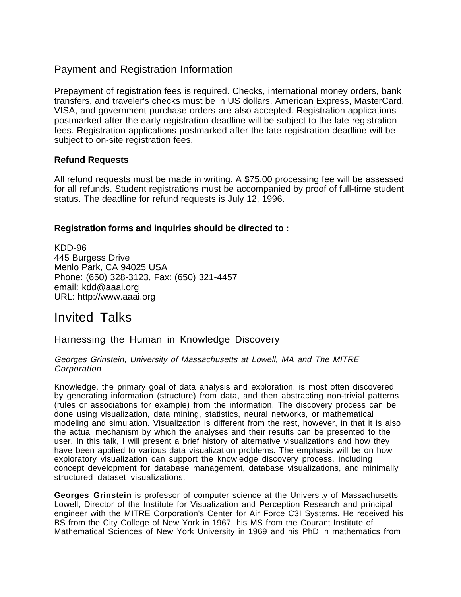## Payment and Registration Information

Prepayment of registration fees is required. Checks, international money orders, bank transfers, and traveler's checks must be in US dollars. American Express, MasterCard, VISA, and government purchase orders are also accepted. Registration applications postmarked after the early registration deadline will be subject to the late registration fees. Registration applications postmarked after the late registration deadline will be subject to on-site registration fees.

## **Refund Requests**

All refund requests must be made in writing. A \$75.00 processing fee will be assessed for all refunds. Student registrations must be accompanied by proof of full-time student status. The deadline for refund requests is July 12, 1996.

## **Registration forms and inquiries should be directed to :**

KDD-96 445 Burgess Drive Menlo Park, CA 94025 USA Phone: (650) 328-3123, Fax: (650) 321-4457 email: kdd@aaai.org URL: http://www.aaai.org

## Invited Talks

Harnessing the Human in Knowledge Discovery

### Georges Grinstein, University of Massachusetts at Lowell, MA and The MITRE **Corporation**

Knowledge, the primary goal of data analysis and exploration, is most often discovered by generating information (structure) from data, and then abstracting non-trivial patterns (rules or associations for example) from the information. The discovery process can be done using visualization, data mining, statistics, neural networks, or mathematical modeling and simulation. Visualization is different from the rest, however, in that it is also the actual mechanism by which the analyses and their results can be presented to the user. In this talk, I will present a brief history of alternative visualizations and how they have been applied to various data visualization problems. The emphasis will be on how exploratory visualization can support the knowledge discovery process, including concept development for database management, database visualizations, and minimally structured dataset visualizations.

**Georges Grinstein** is professor of computer science at the University of Massachusetts Lowell, Director of the Institute for Visualization and Perception Research and principal engineer with the MITRE Corporation's Center for Air Force C3I Systems. He received his BS from the City College of New York in 1967, his MS from the Courant Institute of Mathematical Sciences of New York University in 1969 and his PhD in mathematics from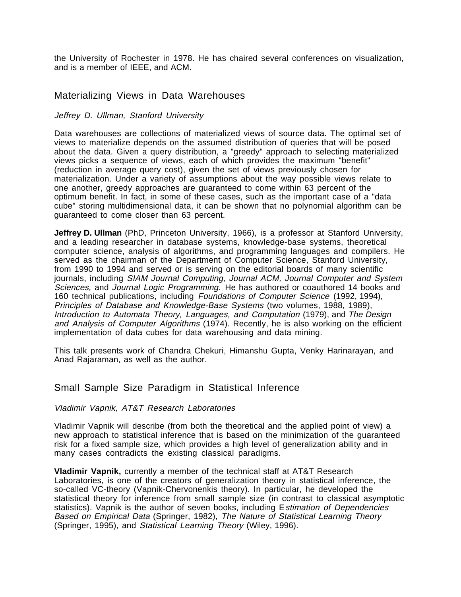the University of Rochester in 1978. He has chaired several conferences on visualization, and is a member of IEEE, and ACM.

## Materializing Views in Data Warehouses

### Jeffrey D. Ullman, Stanford University

Data warehouses are collections of materialized views of source data. The optimal set of views to materialize depends on the assumed distribution of queries that will be posed about the data. Given a query distribution, a "greedy" approach to selecting materialized views picks a sequence of views, each of which provides the maximum "benefit" (reduction in average query cost), given the set of views previously chosen for materialization. Under a variety of assumptions about the way possible views relate to one another, greedy approaches are guaranteed to come within 63 percent of the optimum benefit. In fact, in some of these cases, such as the important case of a "data cube" storing multidimensional data, it can be shown that no polynomial algorithm can be guaranteed to come closer than 63 percent.

**Jeffrey D. Ullman** (PhD, Princeton University, 1966), is a professor at Stanford University, and a leading researcher in database systems, knowledge-base systems, theoretical computer science, analysis of algorithms, and programming languages and compilers. He served as the chairman of the Department of Computer Science, Stanford University, from 1990 to 1994 and served or is serving on the editorial boards of many scientific journals, including SIAM Journal Computing, Journal ACM, Journal Computer and System Sciences, and Journal Logic Programming. He has authored or coauthored 14 books and 160 technical publications, including Foundations of Computer Science (1992, 1994), Principles of Database and Knowledge-Base Systems (two volumes, 1988, 1989), Introduction to Automata Theory, Languages, and Computation (1979), and The Design and Analysis of Computer Algorithms (1974). Recently, he is also working on the efficient implementation of data cubes for data warehousing and data mining.

This talk presents work of Chandra Chekuri, Himanshu Gupta, Venky Harinarayan, and Anad Rajaraman, as well as the author.

### Small Sample Size Paradigm in Statistical Inference

### Vladimir Vapnik, AT&T Research Laboratories

Vladimir Vapnik will describe (from both the theoretical and the applied point of view) a new approach to statistical inference that is based on the minimization of the guaranteed risk for a fixed sample size, which provides a high level of generalization ability and in many cases contradicts the existing classical paradigms.

**Vladimir Vapnik,** currently a member of the technical staff at AT&T Research Laboratories, is one of the creators of generalization theory in statistical inference, the so-called VC-theory (Vapnik-Chervonenkis theory). In particular, he developed the statistical theory for inference from small sample size (in contrast to classical asymptotic statistics). Vapnik is the author of seven books, including E stimation of Dependencies Based on Empirical Data (Springer, 1982), The Nature of Statistical Learning Theory (Springer, 1995), and Statistical Learning Theory (Wiley, 1996).